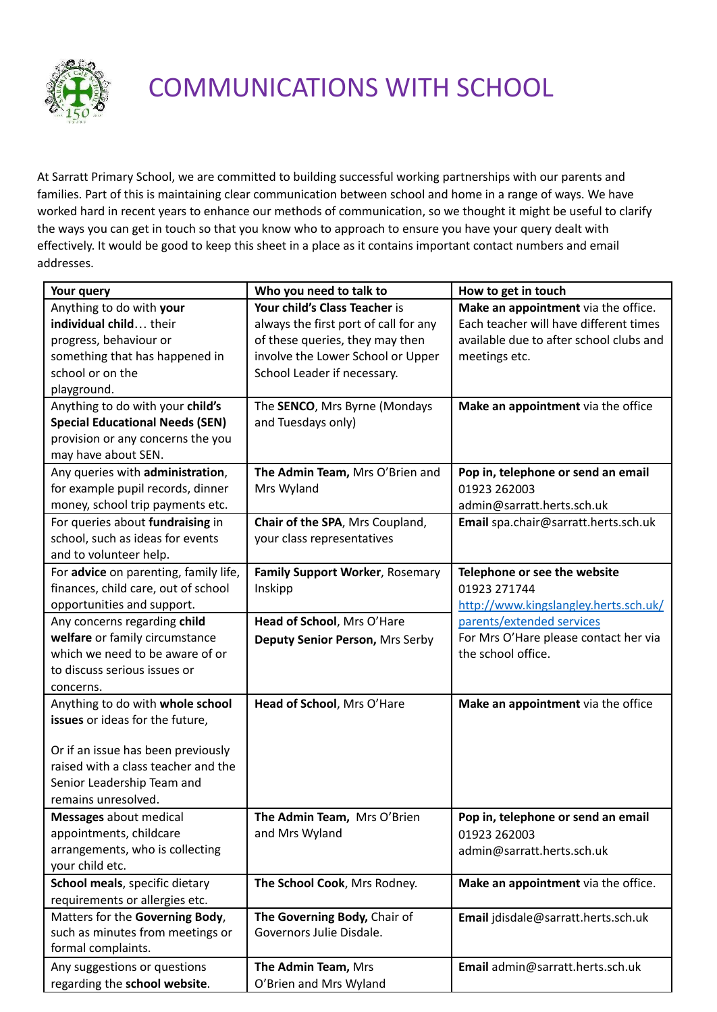

## COMMUNICATIONS WITH SCHOOL

At Sarratt Primary School, we are committed to building successful working partnerships with our parents and families. Part of this is maintaining clear communication between school and home in a range of ways. We have worked hard in recent years to enhance our methods of communication, so we thought it might be useful to clarify the ways you can get in touch so that you know who to approach to ensure you have your query dealt with effectively. It would be good to keep this sheet in a place as it contains important contact numbers and email addresses.

| Your query                             | Who you need to talk to               | How to get in touch                     |
|----------------------------------------|---------------------------------------|-----------------------------------------|
| Anything to do with your               | Your child's Class Teacher is         | Make an appointment via the office.     |
| individual child their                 | always the first port of call for any | Each teacher will have different times  |
| progress, behaviour or                 | of these queries, they may then       | available due to after school clubs and |
| something that has happened in         | involve the Lower School or Upper     | meetings etc.                           |
| school or on the                       | School Leader if necessary.           |                                         |
| playground.                            |                                       |                                         |
| Anything to do with your child's       | The SENCO, Mrs Byrne (Mondays         | Make an appointment via the office      |
| <b>Special Educational Needs (SEN)</b> | and Tuesdays only)                    |                                         |
| provision or any concerns the you      |                                       |                                         |
| may have about SEN.                    |                                       |                                         |
| Any queries with administration,       | The Admin Team, Mrs O'Brien and       | Pop in, telephone or send an email      |
| for example pupil records, dinner      | Mrs Wyland                            | 01923 262003                            |
| money, school trip payments etc.       |                                       | admin@sarratt.herts.sch.uk              |
| For queries about fundraising in       | Chair of the SPA, Mrs Coupland,       | Email spa.chair@sarratt.herts.sch.uk    |
| school, such as ideas for events       | your class representatives            |                                         |
| and to volunteer help.                 |                                       |                                         |
| For advice on parenting, family life,  | Family Support Worker, Rosemary       | Telephone or see the website            |
| finances, child care, out of school    | Inskipp                               | 01923 271744                            |
| opportunities and support.             |                                       | http://www.kingslangley.herts.sch.uk/   |
| Any concerns regarding child           | Head of School, Mrs O'Hare            | parents/extended services               |
| welfare or family circumstance         | Deputy Senior Person, Mrs Serby       | For Mrs O'Hare please contact her via   |
| which we need to be aware of or        |                                       | the school office.                      |
| to discuss serious issues or           |                                       |                                         |
| concerns.                              |                                       |                                         |
| Anything to do with whole school       | Head of School, Mrs O'Hare            | Make an appointment via the office      |
| issues or ideas for the future,        |                                       |                                         |
|                                        |                                       |                                         |
| Or if an issue has been previously     |                                       |                                         |
| raised with a class teacher and the    |                                       |                                         |
| Senior Leadership Team and             |                                       |                                         |
| remains unresolved.                    |                                       |                                         |
| <b>Messages</b> about medical          | The Admin Team, Mrs O'Brien           | Pop in, telephone or send an email      |
| appointments, childcare                | and Mrs Wyland                        | 01923 262003                            |
| arrangements, who is collecting        |                                       | admin@sarratt.herts.sch.uk              |
| your child etc.                        |                                       |                                         |
| School meals, specific dietary         | The School Cook, Mrs Rodney.          | Make an appointment via the office.     |
| requirements or allergies etc.         |                                       |                                         |
| Matters for the Governing Body,        | The Governing Body, Chair of          | Email jdisdale@sarratt.herts.sch.uk     |
| such as minutes from meetings or       | Governors Julie Disdale.              |                                         |
| formal complaints.                     |                                       |                                         |
| Any suggestions or questions           | The Admin Team, Mrs                   | Email admin@sarratt.herts.sch.uk        |
| regarding the school website.          | O'Brien and Mrs Wyland                |                                         |